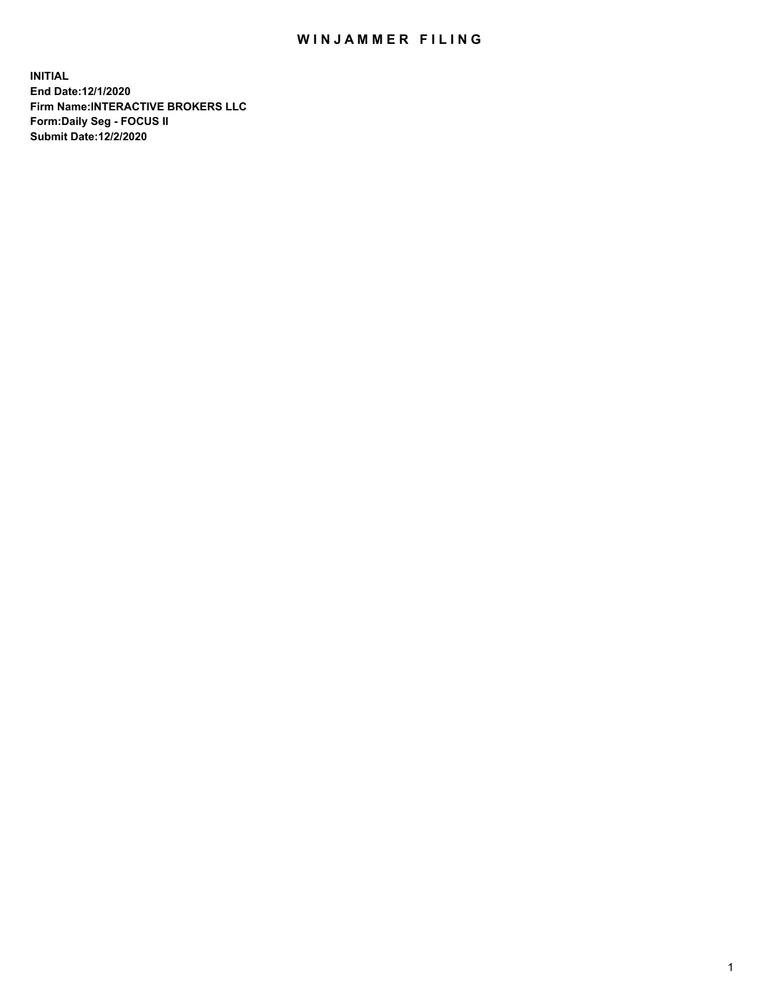## WIN JAMMER FILING

**INITIAL End Date:12/1/2020 Firm Name:INTERACTIVE BROKERS LLC Form:Daily Seg - FOCUS II Submit Date:12/2/2020**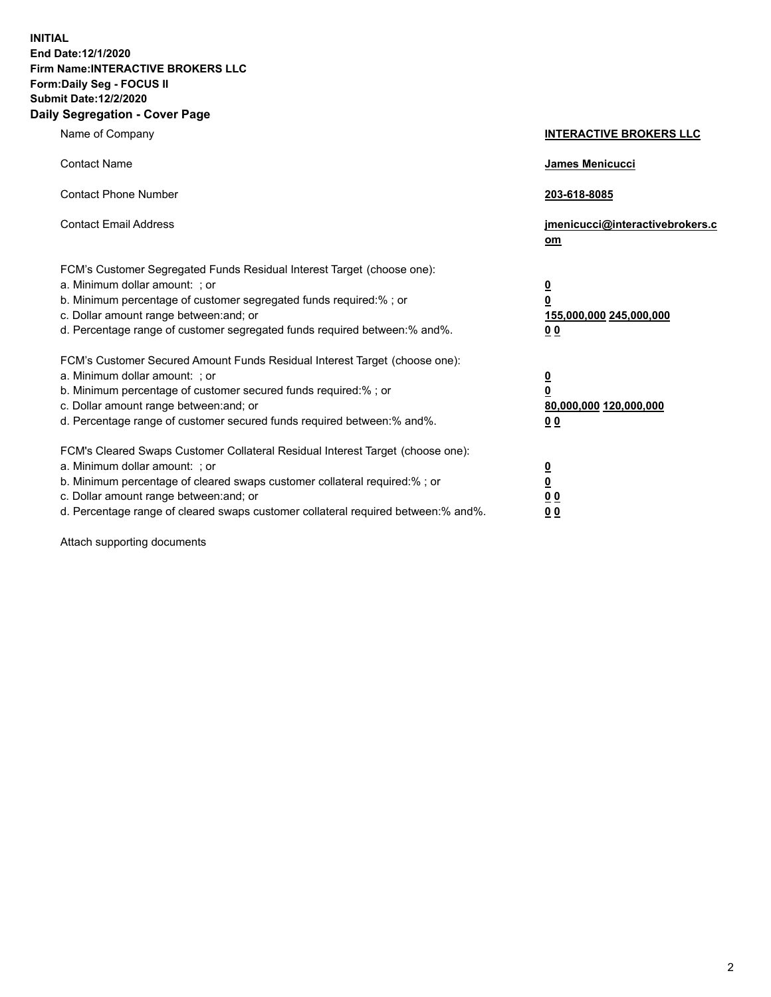**INITIAL End Date:12/1/2020 Firm Name:INTERACTIVE BROKERS LLC Form:Daily Seg - FOCUS II Submit Date:12/2/2020 Daily Segregation - Cover Page**

| Name of Company                                                                                                                                                                                                                                                                                                                | <b>INTERACTIVE BROKERS LLC</b>                                                                  |  |
|--------------------------------------------------------------------------------------------------------------------------------------------------------------------------------------------------------------------------------------------------------------------------------------------------------------------------------|-------------------------------------------------------------------------------------------------|--|
| <b>Contact Name</b>                                                                                                                                                                                                                                                                                                            | <b>James Menicucci</b>                                                                          |  |
| <b>Contact Phone Number</b>                                                                                                                                                                                                                                                                                                    | 203-618-8085                                                                                    |  |
| <b>Contact Email Address</b>                                                                                                                                                                                                                                                                                                   | jmenicucci@interactivebrokers.c<br><u>om</u>                                                    |  |
| FCM's Customer Segregated Funds Residual Interest Target (choose one):<br>a. Minimum dollar amount: ; or<br>b. Minimum percentage of customer segregated funds required:%; or<br>c. Dollar amount range between: and; or<br>d. Percentage range of customer segregated funds required between:% and%.                          | $\overline{\mathbf{0}}$<br>$\overline{\mathbf{0}}$<br>155,000,000 245,000,000<br>0 <sub>0</sub> |  |
| FCM's Customer Secured Amount Funds Residual Interest Target (choose one):<br>a. Minimum dollar amount: ; or<br>b. Minimum percentage of customer secured funds required:%; or<br>c. Dollar amount range between: and; or<br>d. Percentage range of customer secured funds required between:% and%.                            | $\overline{\mathbf{0}}$<br>$\overline{\mathbf{0}}$<br>80,000,000 120,000,000<br>0 <sub>0</sub>  |  |
| FCM's Cleared Swaps Customer Collateral Residual Interest Target (choose one):<br>a. Minimum dollar amount: ; or<br>b. Minimum percentage of cleared swaps customer collateral required:% ; or<br>c. Dollar amount range between: and; or<br>d. Percentage range of cleared swaps customer collateral required between:% and%. | $\overline{\mathbf{0}}$<br>$\underline{\mathbf{0}}$<br>$\underline{0}$ $\underline{0}$<br>00    |  |

Attach supporting documents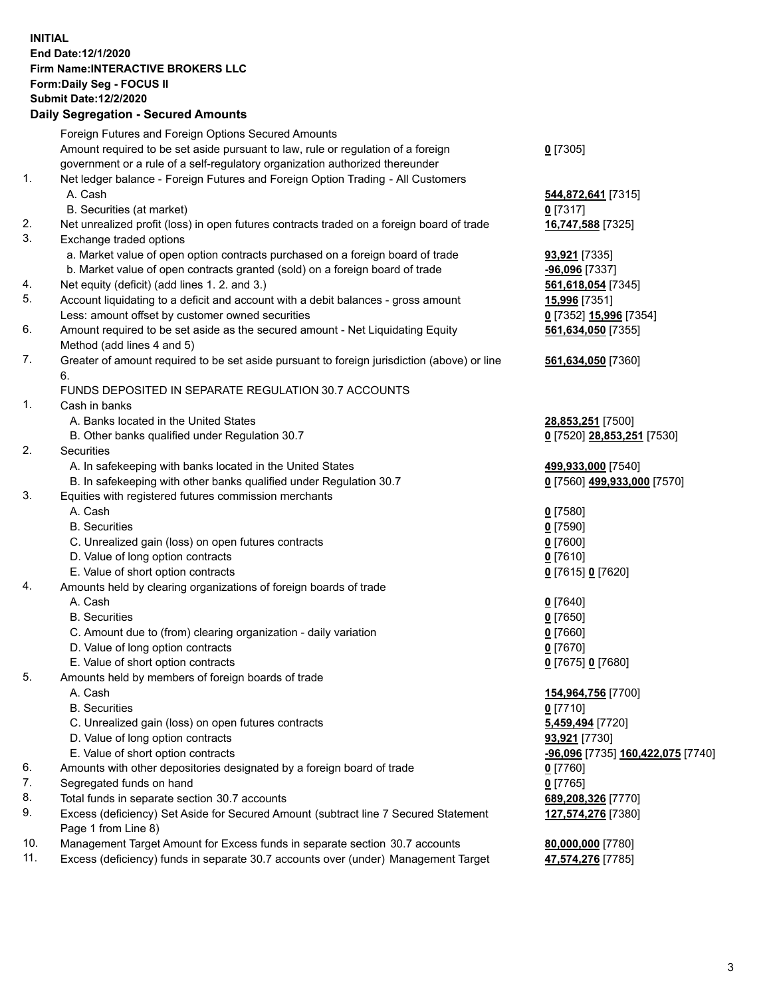**INITIAL End Date:12/1/2020 Firm Name:INTERACTIVE BROKERS LLC Form:Daily Seg - FOCUS II Submit Date:12/2/2020 Daily Segregation - Secured Amounts**

## Foreign Futures and Foreign Options Secured Amounts Amount required to be set aside pursuant to law, rule or regulation of a foreign government or a rule of a self-regulatory organization authorized thereunder **0** [7305] 1. Net ledger balance - Foreign Futures and Foreign Option Trading - All Customers A. Cash **544,872,641** [7315] B. Securities (at market) **0** [7317] 2. Net unrealized profit (loss) in open futures contracts traded on a foreign board of trade **16,747,588** [7325] 3. Exchange traded options a. Market value of open option contracts purchased on a foreign board of trade **93,921** [7335] b. Market value of open contracts granted (sold) on a foreign board of trade **-96,096** [7337] 4. Net equity (deficit) (add lines 1. 2. and 3.) **561,618,054** [7345] 5. Account liquidating to a deficit and account with a debit balances - gross amount **15,996** [7351] Less: amount offset by customer owned securities **0** [7352] **15,996** [7354] 6. Amount required to be set aside as the secured amount - Net Liquidating Equity Method (add lines 4 and 5) **561,634,050** [7355] 7. Greater of amount required to be set aside pursuant to foreign jurisdiction (above) or line 6. **561,634,050** [7360] FUNDS DEPOSITED IN SEPARATE REGULATION 30.7 ACCOUNTS 1. Cash in banks A. Banks located in the United States **28,853,251** [7500] B. Other banks qualified under Regulation 30.7 **0** [7520] **28,853,251** [7530] 2. Securities A. In safekeeping with banks located in the United States **499,933,000** [7540] B. In safekeeping with other banks qualified under Regulation 30.7 **0** [7560] **499,933,000** [7570] 3. Equities with registered futures commission merchants A. Cash **0** [7580] B. Securities **0** [7590] C. Unrealized gain (loss) on open futures contracts **0** [7600] D. Value of long option contracts **0** [7610] E. Value of short option contracts **0** [7615] **0** [7620] 4. Amounts held by clearing organizations of foreign boards of trade A. Cash **0** [7640] B. Securities **0** [7650] C. Amount due to (from) clearing organization - daily variation **0** [7660] D. Value of long option contracts **0** [7670] E. Value of short option contracts **0** [7675] **0** [7680] 5. Amounts held by members of foreign boards of trade A. Cash **154,964,756** [7700] B. Securities **0** [7710] C. Unrealized gain (loss) on open futures contracts **5,459,494** [7720] D. Value of long option contracts **93,921** [7730] E. Value of short option contracts **-96,096** [7735] **160,422,075** [7740] 6. Amounts with other depositories designated by a foreign board of trade **0** [7760] 7. Segregated funds on hand **0** [7765] 8. Total funds in separate section 30.7 accounts **689,208,326** [7770] 9. Excess (deficiency) Set Aside for Secured Amount (subtract line 7 Secured Statement Page 1 from Line 8) **127,574,276** [7380] 10. Management Target Amount for Excess funds in separate section 30.7 accounts **80,000,000** [7780] 11. Excess (deficiency) funds in separate 30.7 accounts over (under) Management Target **47,574,276** [7785]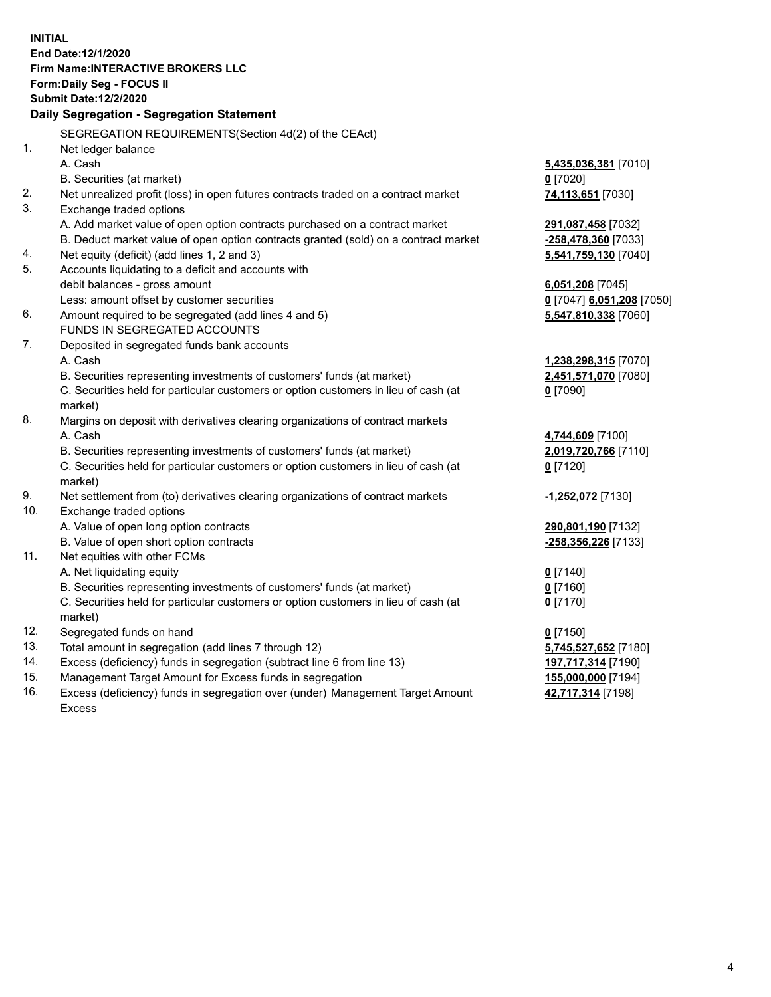**INITIAL End Date:12/1/2020 Firm Name:INTERACTIVE BROKERS LLC Form:Daily Seg - FOCUS II Submit Date:12/2/2020 Daily Segregation - Segregation Statement** SEGREGATION REQUIREMENTS(Section 4d(2) of the CEAct) 1. Net ledger balance A. Cash **5,435,036,381** [7010] B. Securities (at market) **0** [7020] 2. Net unrealized profit (loss) in open futures contracts traded on a contract market **74,113,651** [7030] 3. Exchange traded options A. Add market value of open option contracts purchased on a contract market **291,087,458** [7032] B. Deduct market value of open option contracts granted (sold) on a contract market **-258,478,360** [7033] 4. Net equity (deficit) (add lines 1, 2 and 3) **5,541,759,130** [7040] 5. Accounts liquidating to a deficit and accounts with debit balances - gross amount **6,051,208** [7045] Less: amount offset by customer securities **0** [7047] **6,051,208** [7050] 6. Amount required to be segregated (add lines 4 and 5) **5,547,810,338** [7060] FUNDS IN SEGREGATED ACCOUNTS 7. Deposited in segregated funds bank accounts A. Cash **1,238,298,315** [7070] B. Securities representing investments of customers' funds (at market) **2,451,571,070** [7080] C. Securities held for particular customers or option customers in lieu of cash (at market) **0** [7090] 8. Margins on deposit with derivatives clearing organizations of contract markets A. Cash **4,744,609** [7100] B. Securities representing investments of customers' funds (at market) **2,019,720,766** [7110] C. Securities held for particular customers or option customers in lieu of cash (at market) **0** [7120] 9. Net settlement from (to) derivatives clearing organizations of contract markets **-1,252,072** [7130] 10. Exchange traded options A. Value of open long option contracts **290,801,190** [7132] B. Value of open short option contracts **-258,356,226** [7133] 11. Net equities with other FCMs A. Net liquidating equity **0** [7140] B. Securities representing investments of customers' funds (at market) **0** [7160] C. Securities held for particular customers or option customers in lieu of cash (at market) **0** [7170] 12. Segregated funds on hand **0** [7150] 13. Total amount in segregation (add lines 7 through 12) **5,745,527,652** [7180] 14. Excess (deficiency) funds in segregation (subtract line 6 from line 13) **197,717,314** [7190] 15. Management Target Amount for Excess funds in segregation **155,000,000** [7194] **42,717,314** [7198]

16. Excess (deficiency) funds in segregation over (under) Management Target Amount Excess